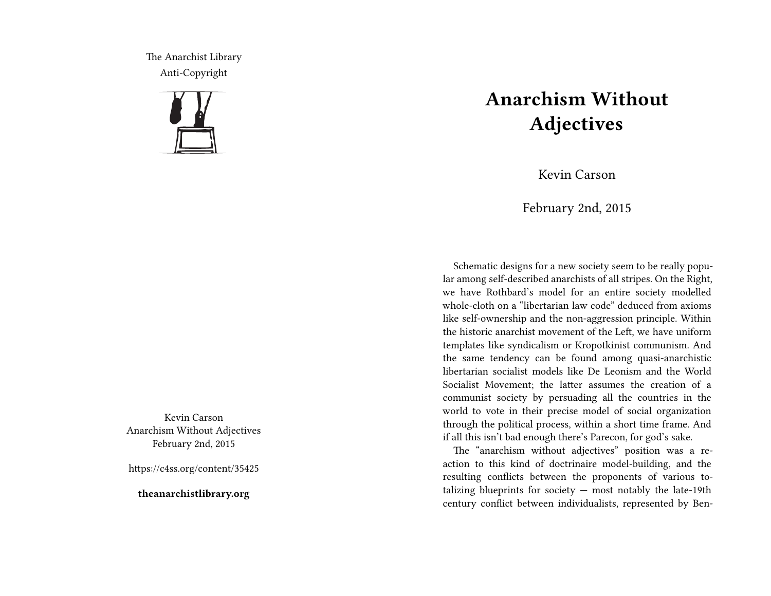The Anarchist Library Anti-Copyright



Kevin Carson Anarchism Without Adjectives February 2nd, 2015

https://c4ss.org/content/35425

**theanarchistlibrary.org**

## **Anarchism Without Adjectives**

Kevin Carson

February 2nd, 2015

Schematic designs for a new society seem to be really popular among self-described anarchists of all stripes. On the Right, we have Rothbard's model for an entire society modelled whole-cloth on a "libertarian law code" deduced from axioms like self-ownership and the non-aggression principle. Within the historic anarchist movement of the Left, we have uniform templates like syndicalism or Kropotkinist communism. And the same tendency can be found among quasi-anarchistic libertarian socialist models like De Leonism and the World Socialist Movement; the latter assumes the creation of a communist society by persuading all the countries in the world to vote in their precise model of social organization through the political process, within a short time frame. And if all this isn't bad enough there's Parecon, for god's sake.

The "anarchism without adjectives" position was a reaction to this kind of doctrinaire model-building, and the resulting conflicts between the proponents of various totalizing blueprints for society  $-$  most notably the late-19th century conflict between individualists, represented by Ben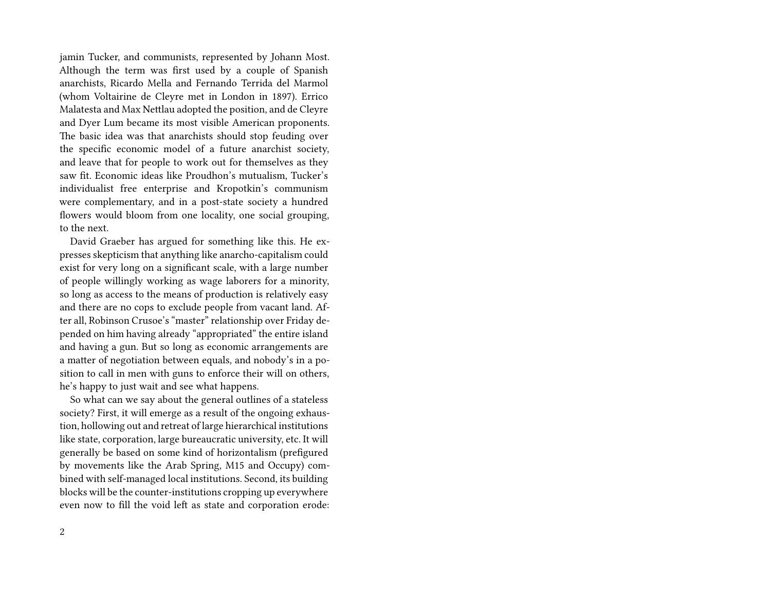jamin Tucker, and communists, represented by Johann Most. Although the term was first used by a couple of Spanish anarchists, Ricardo Mella and Fernando Terrida del Marmol (whom Voltairine de Cleyre met in London in 1897). Errico Malatesta and Max Nettlau adopted the position, and de Cleyre and Dyer Lum became its most visible American proponents. The basic idea was that anarchists should stop feuding over the specific economic model of a future anarchist society, and leave that for people to work out for themselves as they saw fit. Economic ideas like Proudhon's mutualism, Tucker's individualist free enterprise and Kropotkin's communism were complementary, and in a post-state society a hundred flowers would bloom from one locality, one social grouping, to the next.

David Graeber has argued for something like this. He expresses skepticism that anything like anarcho-capitalism could exist for very long on a significant scale, with a large number of people willingly working as wage laborers for a minority, so long as access to the means of production is relatively easy and there are no cops to exclude people from vacant land. After all, Robinson Crusoe's "master" relationship over Friday depended on him having already "appropriated" the entire island and having a gun. But so long as economic arrangements are a matter of negotiation between equals, and nobody's in a position to call in men with guns to enforce their will on others, he's happy to just wait and see what happens.

So what can we say about the general outlines of a stateless society? First, it will emerge as a result of the ongoing exhaustion, hollowing out and retreat of large hierarchical institutions like state, corporation, large bureaucratic university, etc. It will generally be based on some kind of horizontalism (prefigured by movements like the Arab Spring, M15 and Occupy) combined with self-managed local institutions. Second, its building blocks will be the counter-institutions cropping up everywhere even now to fill the void left as state and corporation erode: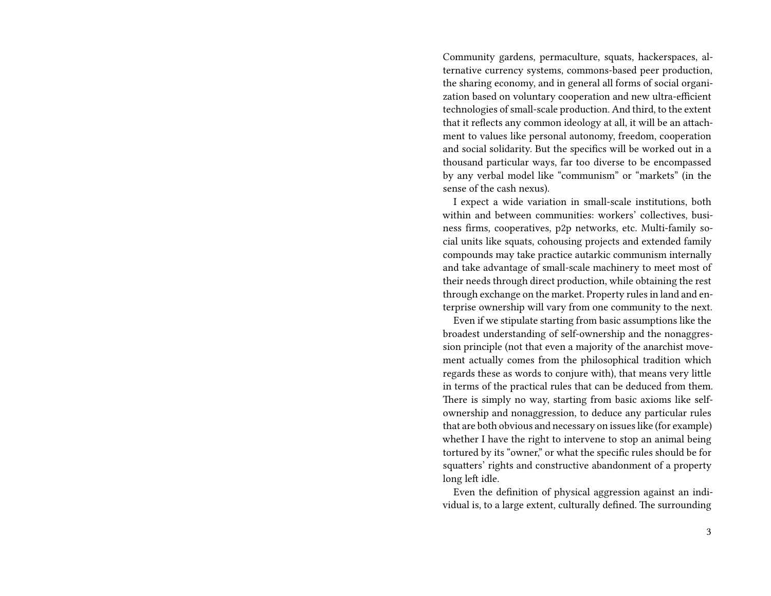Community gardens, permaculture, squats, hackerspaces, alternative currency systems, commons-based peer production, the sharing economy, and in general all forms of social organization based on voluntary cooperation and new ultra-efficient technologies of small-scale production. And third, to the extent that it reflects any common ideology at all, it will be an attachment to values like personal autonomy, freedom, cooperation and social solidarity. But the specifics will be worked out in a thousand particular ways, far too diverse to be encompassed by any verbal model like "communism" or "markets" (in the sense of the cash nexus).

I expect a wide variation in small-scale institutions, both within and between communities: workers' collectives, business firms, cooperatives, p2p networks, etc. Multi-family social units like squats, cohousing projects and extended family compounds may take practice autarkic communism internally and take advantage of small-scale machinery to meet most of their needs through direct production, while obtaining the rest through exchange on the market. Property rules in land and enterprise ownership will vary from one community to the next.

Even if we stipulate starting from basic assumptions like the broadest understanding of self-ownership and the nonaggression principle (not that even a majority of the anarchist movement actually comes from the philosophical tradition which regards these as words to conjure with), that means very little in terms of the practical rules that can be deduced from them. There is simply no way, starting from basic axioms like selfownership and nonaggression, to deduce any particular rules that are both obvious and necessary on issues like (for example) whether I have the right to intervene to stop an animal being tortured by its "owner," or what the specific rules should be for squatters' rights and constructive abandonment of a property long left idle.

Even the definition of physical aggression against an individual is, to a large extent, culturally defined. The surrounding